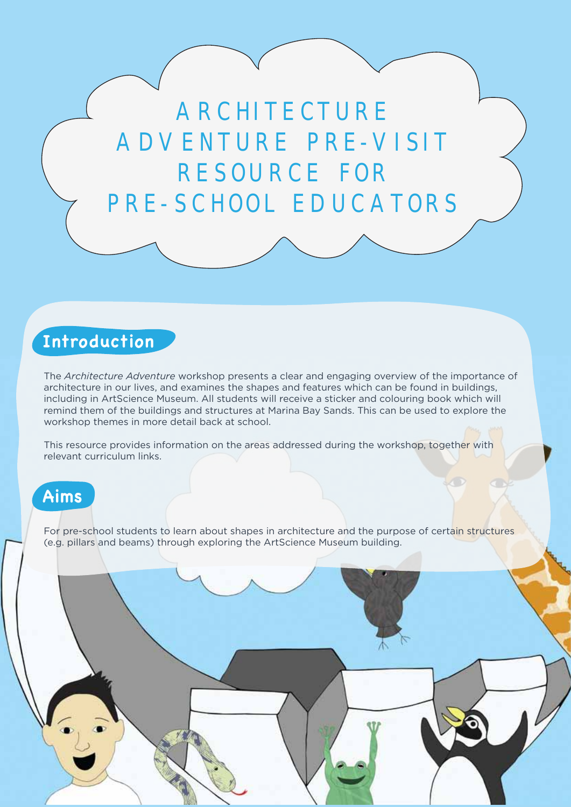ARCHITECTURE ADVENTURE PRE-VISIT RESOURCE FOR PRE-SCHOOL EDUCATORS

## **Introduction**

The *Architecture Adventure* workshop presents a clear and engaging overview of the importance of architecture in our lives, and examines the shapes and features which can be found in buildings, including in ArtScience Museum. All students will receive a sticker and colouring book which will remind them of the buildings and structures at Marina Bay Sands. This can be used to explore the workshop themes in more detail back at school.

This resource provides information on the areas addressed during the workshop, together with relevant curriculum links.

## **Aims**

For pre-school students to learn about shapes in architecture and the purpose of certain structures (e.g. pillars and beams) through exploring the ArtScience Museum building.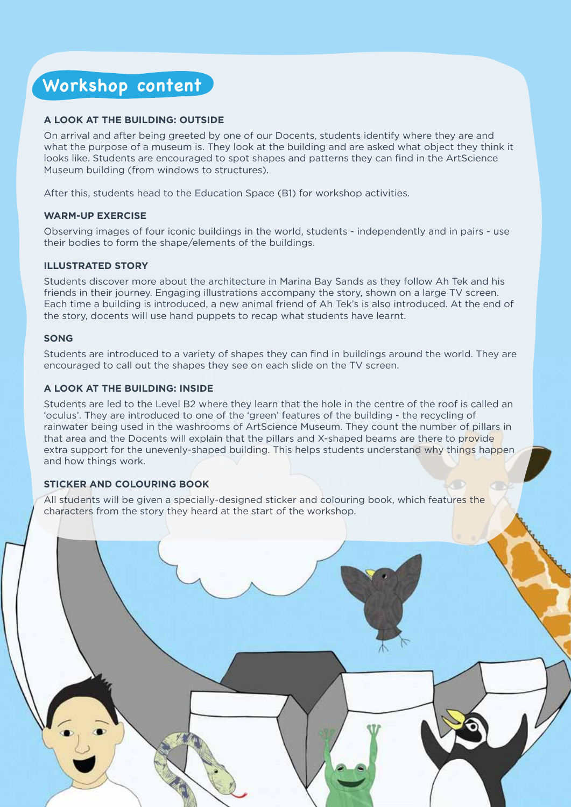## **Workshop content**

## **A LOOK AT THE BUILDING: OUTSIDE**

On arrival and after being greeted by one of our Docents, students identify where they are and what the purpose of a museum is. They look at the building and are asked what object they think it looks like. Students are encouraged to spot shapes and patterns they can find in the ArtScience Museum building (from windows to structures).

After this, students head to the Education Space (B1) for workshop activities.

## **WARM-UP EXERCISE**

Observing images of four iconic buildings in the world, students - independently and in pairs - use their bodies to form the shape/elements of the buildings.

### **ILLUSTRATED STORY**

Students discover more about the architecture in Marina Bay Sands as they follow Ah Tek and his friends in their journey. Engaging illustrations accompany the story, shown on a large TV screen. Each time a building is introduced, a new animal friend of Ah Tek's is also introduced. At the end of the story, docents will use hand puppets to recap what students have learnt.

### **SONG**

Students are introduced to a variety of shapes they can find in buildings around the world. They are encouraged to call out the shapes they see on each slide on the TV screen.

## **A LOOK AT THE BUILDING: INSIDE**

Students are led to the Level B2 where they learn that the hole in the centre of the roof is called an 'oculus'. They are introduced to one of the 'green' features of the building - the recycling of rainwater being used in the washrooms of ArtScience Museum. They count the number of pillars in that area and the Docents will explain that the pillars and X-shaped beams are there to provide extra support for the unevenly-shaped building. This helps students understand why things happen and how things work.

## **STICKER AND COLOURING BOOK**

All students will be given a specially-designed sticker and colouring book, which features the characters from the story they heard at the start of the workshop.